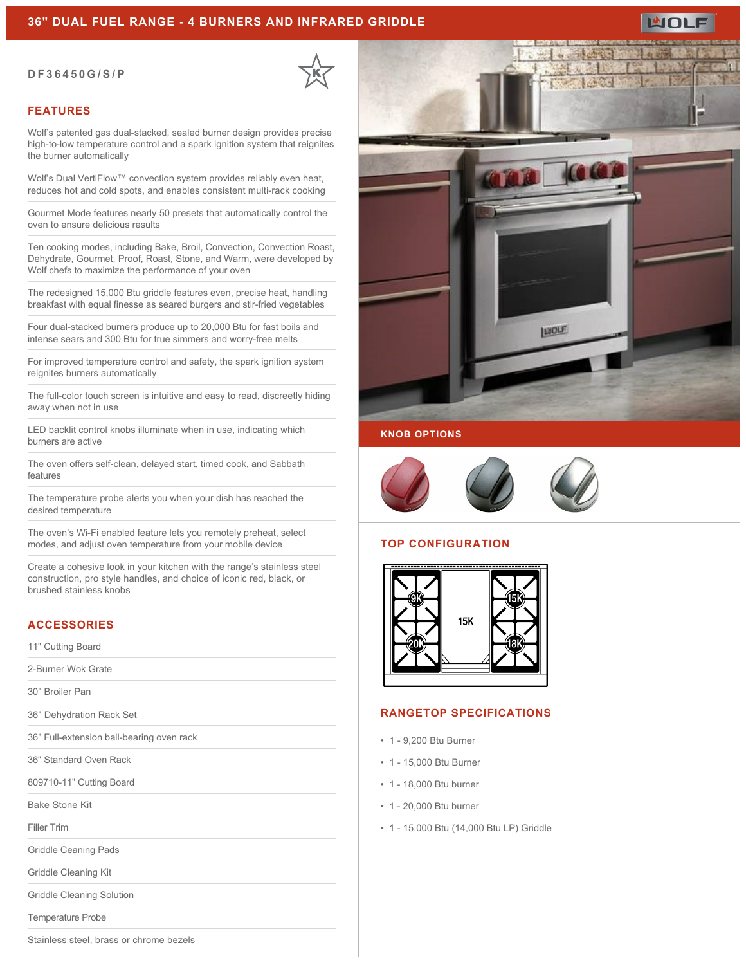### **36" DUAL FUEL RANGE - 4 BURNERS AND INFRARED GRIDDLE**

#### **DF36450G/S/P**



#### **FEATURES**

Wolf's patented gas dual-stacked, sealed burner design provides precise high-to-low temperature control and a spark ignition system that reignites the burner automatically

Wolf's Dual VertiFlow™ convection system provides reliably even heat, reduces hot and cold spots, and enables consistent multi-rack cooking

Gourmet Mode features nearly 50 presets that automatically control the oven to ensure delicious results

Ten cooking modes, including Bake, Broil, Convection, Convection Roast, Dehydrate, Gourmet, Proof, Roast, Stone, and Warm, were developed by Wolf chefs to maximize the performance of your oven

The redesigned 15,000 Btu griddle features even, precise heat, handling breakfast with equal finesse as seared burgers and stir-fried vegetables

Four dual-stacked burners produce up to 20,000 Btu for fast boils and intense sears and 300 Btu for true simmers and worry-free melts

For improved temperature control and safety, the spark ignition system reignites burners automatically

The full-color touch screen is intuitive and easy to read, discreetly hiding away when not in use

LED backlit control knobs illuminate when in use, indicating which burners are active

The oven offers self-clean, delayed start, timed cook, and Sabbath features

The temperature probe alerts you when your dish has reached the desired temperature

The oven's Wi-Fi enabled feature lets you remotely preheat, select modes, and adjust oven temperature from your mobile device

Create a cohesive look in your kitchen with the range's stainless steel construction, pro style handles, and choice of iconic red, black, or brushed stainless knobs

### **ACCESSORIES**

11" Cutting Board

2-Burner Wok Grate

30" Broiler Pan

36" Dehydration Rack Set

36" Full-extension ball-bearing oven rack

36" Standard Oven Rack

809710-11" Cutting Board

Bake Stone Kit

Filler Trim

Griddle Ceaning Pads

Griddle Cleaning Kit

Griddle Cleaning Solution

Temperature Probe

Stainless steel, brass or chrome bezels



ய்ப

### **KNOB OPTIONS**



#### **TOP CONFIGURATION**



#### **RANGETOP SPECIFICATIONS**

- 1 9,200 Btu Burner
- 1 15,000 Btu Burner
- 1 18,000 Btu burner
- 1 20,000 Btu burner
- 1 15,000 Btu (14,000 Btu LP) Griddle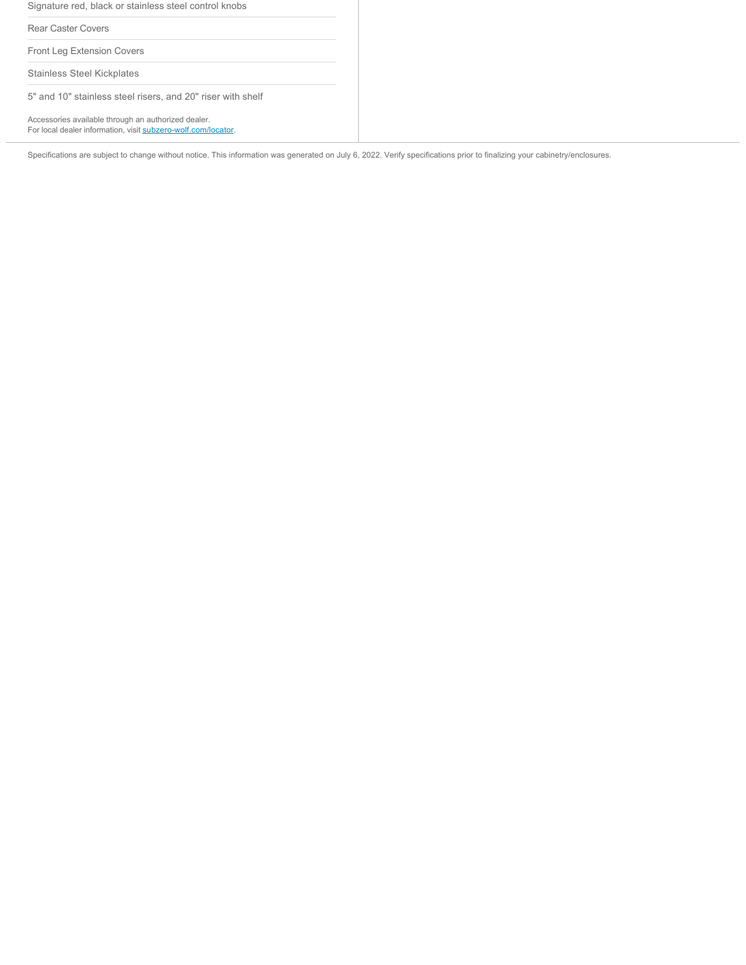Signature red, black or stainless steel control knobs Rear Caster Covers Front Leg Extension Covers Stainless Steel Kickplates 5" and 10" stainless steel risers, and 20" riser with shelf

Accessories available through an authorized dealer. For local dealer information, visit [subzero-wolf.com/locator.](http://www.subzero-wolf.com/locator)

Specifications are subject to change without notice. This information was generated on July 6, 2022. Verify specifications prior to finalizing your cabinetry/enclosures.